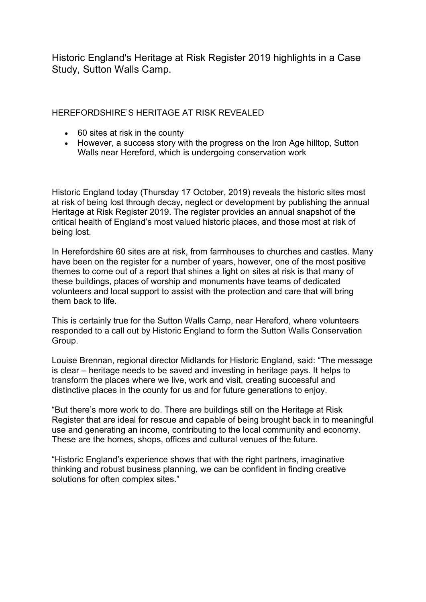Historic England's Heritage at Risk Register 2019 highlights in a Case Study, Sutton Walls Camp.

HEREFORDSHIRE'S HERITAGE AT RISK REVEALED

- 60 sites at risk in the county
- However, a success story with the progress on the Iron Age hilltop, Sutton Walls near Hereford, which is undergoing conservation work

Historic England today (Thursday 17 October, 2019) reveals the historic sites most at risk of being lost through decay, neglect or development by publishing the annual Heritage at Risk Register 2019. The register provides an annual snapshot of the critical health of England's most valued historic places, and those most at risk of being lost.

In Herefordshire 60 sites are at risk, from farmhouses to churches and castles. Many have been on the register for a number of years, however, one of the most positive themes to come out of a report that shines a light on sites at risk is that many of these buildings, places of worship and monuments have teams of dedicated volunteers and local support to assist with the protection and care that will bring them back to life.

This is certainly true for the Sutton Walls Camp, near Hereford, where volunteers responded to a call out by Historic England to form the Sutton Walls Conservation Group.

Louise Brennan, regional director Midlands for Historic England, said: "The message is clear – heritage needs to be saved and investing in heritage pays. It helps to transform the places where we live, work and visit, creating successful and distinctive places in the county for us and for future generations to enjoy.

"But there's more work to do. There are buildings still on the Heritage at Risk Register that are ideal for rescue and capable of being brought back in to meaningful use and generating an income, contributing to the local community and economy. These are the homes, shops, offices and cultural venues of the future.

"Historic England's experience shows that with the right partners, imaginative thinking and robust business planning, we can be confident in finding creative solutions for often complex sites."